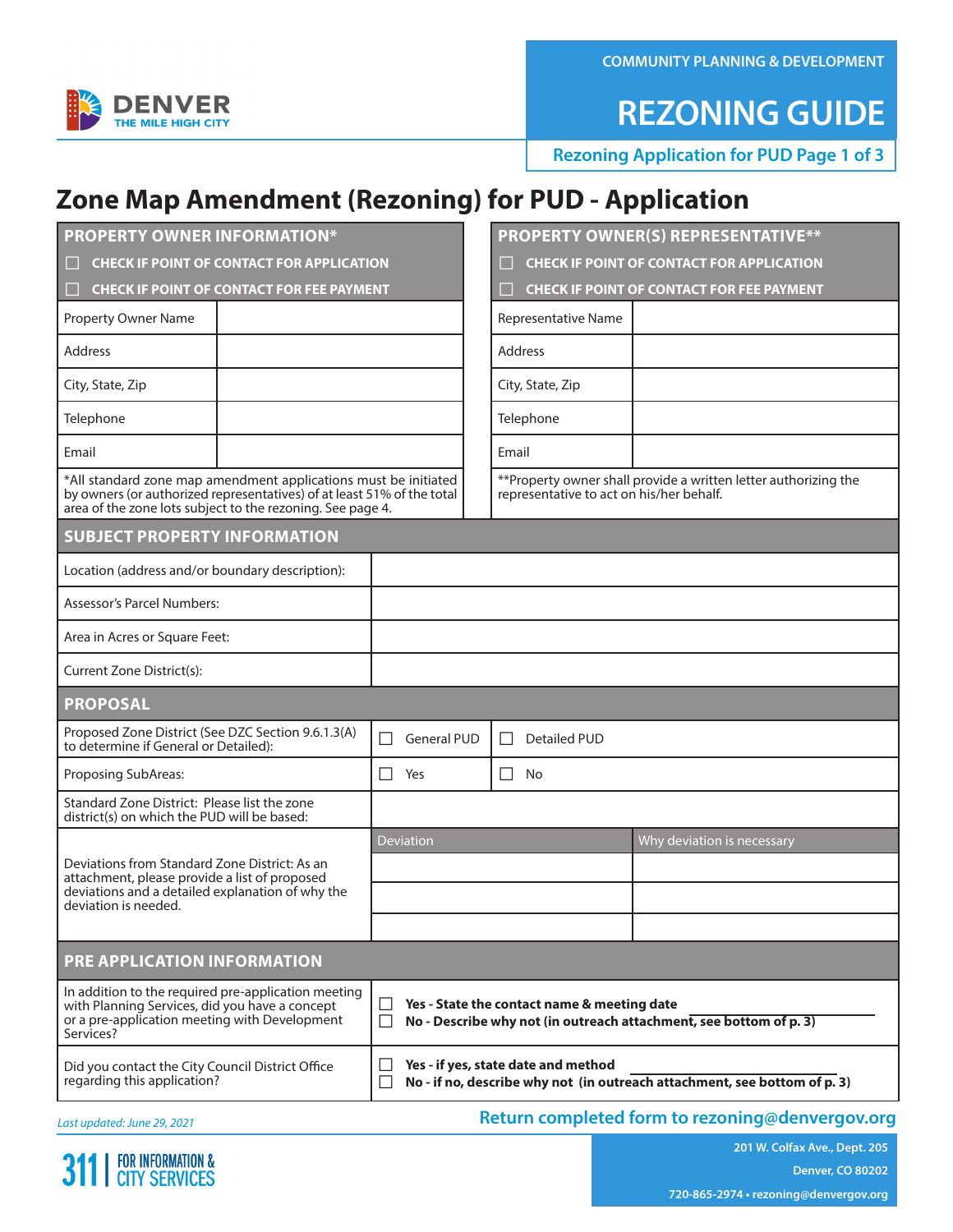**COMMUNITY PLANNING & DEVELOPMENT**

## **REZONING GUIDE**

**Rezoning Application for PUD Page 1 of 3**

### **Zone Map Amendment (Rezoning) for PUD - Application**

| <b>PROPERTY OWNER INFORMATION*</b>                                                                                                                                                                      |                                                                                                                                        | <b>PROPERTY OWNER(S) REPRESENTATIVE**</b>                                                                    |                                                  |  |  |  |  |
|---------------------------------------------------------------------------------------------------------------------------------------------------------------------------------------------------------|----------------------------------------------------------------------------------------------------------------------------------------|--------------------------------------------------------------------------------------------------------------|--------------------------------------------------|--|--|--|--|
| <b>CHECK IF POINT OF CONTACT FOR APPLICATION</b>                                                                                                                                                        |                                                                                                                                        | <b>CHECK IF POINT OF CONTACT FOR APPLICATION</b>                                                             |                                                  |  |  |  |  |
| <b>CHECK IF POINT OF CONTACT FOR FEE PAYMENT</b><br>L                                                                                                                                                   |                                                                                                                                        |                                                                                                              | <b>CHECK IF POINT OF CONTACT FOR FEE PAYMENT</b> |  |  |  |  |
| <b>Property Owner Name</b>                                                                                                                                                                              |                                                                                                                                        | Representative Name                                                                                          |                                                  |  |  |  |  |
| <b>Address</b>                                                                                                                                                                                          |                                                                                                                                        | <b>Address</b>                                                                                               |                                                  |  |  |  |  |
| City, State, Zip                                                                                                                                                                                        |                                                                                                                                        | City, State, Zip                                                                                             |                                                  |  |  |  |  |
| Telephone                                                                                                                                                                                               |                                                                                                                                        | Telephone                                                                                                    |                                                  |  |  |  |  |
| Email                                                                                                                                                                                                   |                                                                                                                                        | Email                                                                                                        |                                                  |  |  |  |  |
| *All standard zone map amendment applications must be initiated<br>by owners (or authorized representatives) of at least 51% of the total<br>area of the zone lots subject to the rezoning. See page 4. |                                                                                                                                        | ** Property owner shall provide a written letter authorizing the<br>representative to act on his/her behalf. |                                                  |  |  |  |  |
| <b>SUBJECT PROPERTY INFORMATION</b>                                                                                                                                                                     |                                                                                                                                        |                                                                                                              |                                                  |  |  |  |  |
| Location (address and/or boundary description):                                                                                                                                                         |                                                                                                                                        |                                                                                                              |                                                  |  |  |  |  |
| Assessor's Parcel Numbers:                                                                                                                                                                              |                                                                                                                                        |                                                                                                              |                                                  |  |  |  |  |
| Area in Acres or Square Feet:                                                                                                                                                                           |                                                                                                                                        |                                                                                                              |                                                  |  |  |  |  |
| Current Zone District(s):                                                                                                                                                                               |                                                                                                                                        |                                                                                                              |                                                  |  |  |  |  |
| <b>PROPOSAL</b>                                                                                                                                                                                         |                                                                                                                                        |                                                                                                              |                                                  |  |  |  |  |
| Proposed Zone District (See DZC Section 9.6.1.3(A)<br>to determine if General or Detailed):                                                                                                             | $\Box$<br><b>General PUD</b>                                                                                                           | <b>Detailed PUD</b><br>$\perp$                                                                               |                                                  |  |  |  |  |
| Proposing SubAreas:                                                                                                                                                                                     | Yes<br>$\Box$                                                                                                                          | $\perp$<br>No                                                                                                |                                                  |  |  |  |  |
| Standard Zone District: Please list the zone<br>district(s) on which the PUD will be based:                                                                                                             |                                                                                                                                        |                                                                                                              |                                                  |  |  |  |  |
|                                                                                                                                                                                                         | <b>Deviation</b>                                                                                                                       |                                                                                                              | Why deviation is necessary                       |  |  |  |  |
| Deviations from Standard Zone District: As an<br>attachment, please provide a list of proposed                                                                                                          |                                                                                                                                        |                                                                                                              |                                                  |  |  |  |  |
| deviations and a detailed explanation of why the<br>deviation is needed.                                                                                                                                |                                                                                                                                        |                                                                                                              |                                                  |  |  |  |  |
|                                                                                                                                                                                                         |                                                                                                                                        |                                                                                                              |                                                  |  |  |  |  |
| PRE APPLICATION INFORMATION                                                                                                                                                                             |                                                                                                                                        |                                                                                                              |                                                  |  |  |  |  |
| In addition to the required pre-application meeting<br>with Planning Services, did you have a concept<br>or a pre-application meeting with Development<br>Services?                                     | Yes - State the contact name & meeting date<br>⊔<br>No - Describe why not (in outreach attachment, see bottom of p. 3)<br>$\mathsf{L}$ |                                                                                                              |                                                  |  |  |  |  |
| Did you contact the City Council District Office<br>regarding this application?                                                                                                                         | Yes - if yes, state date and method<br>ΙI<br>No - if no, describe why not (in outreach attachment, see bottom of p. 3)                 |                                                                                                              |                                                  |  |  |  |  |

*Last updated: June 29, 2021*

| FOR INFORMATION &<br>| CITY SERVICES 31

### **Return completed form to rezoning@denvergov.org**

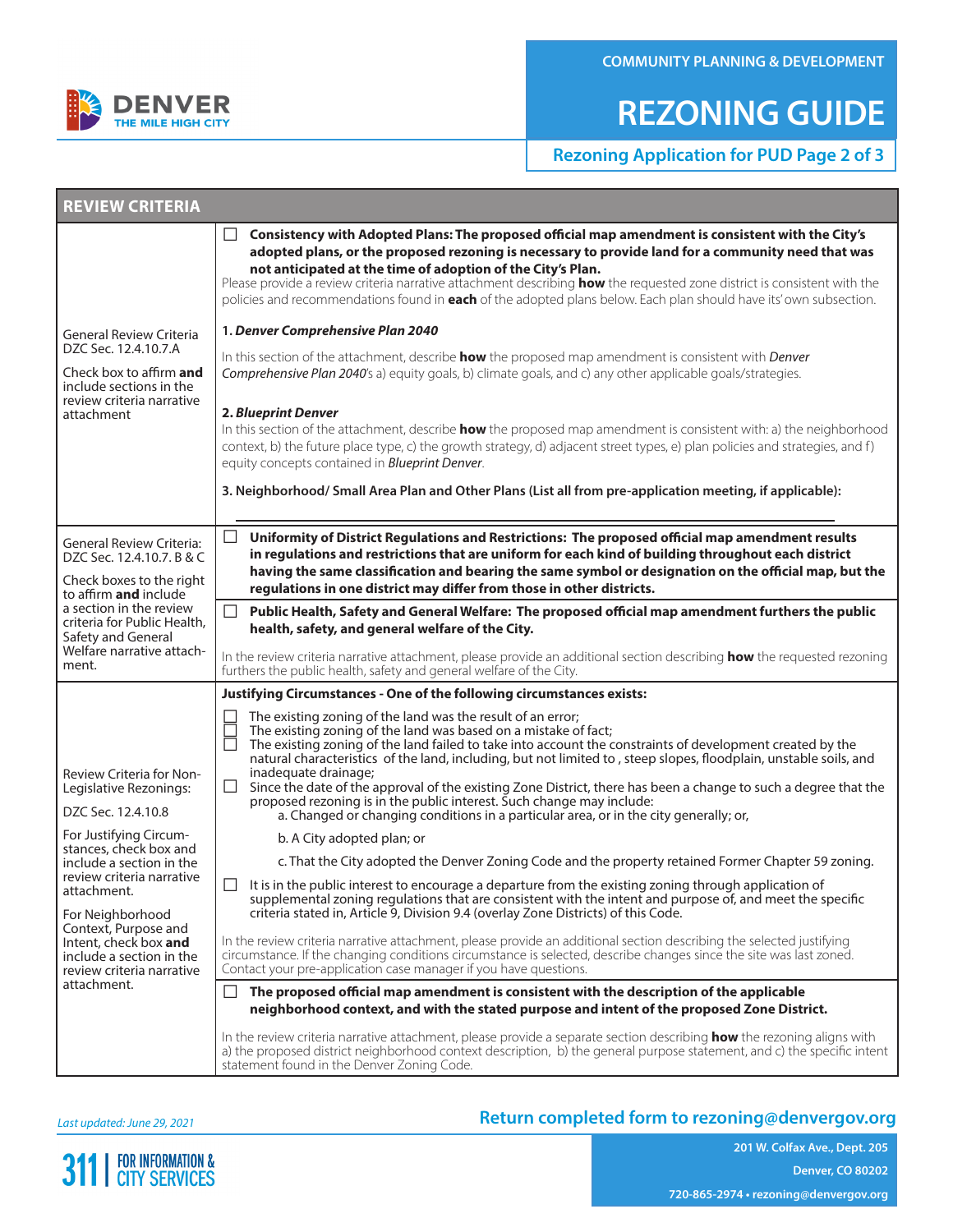

## **REZONING GUIDE**

**Rezoning Application for PUD Page 2 of 3**

| <b>REVIEW CRITERIA</b>                                                                                                                                                                                                                                 |                                                                                                                                                                                                                                                                                                                                                                                                                                                                                                                                                                                                                                                                                                                   |  |  |  |  |
|--------------------------------------------------------------------------------------------------------------------------------------------------------------------------------------------------------------------------------------------------------|-------------------------------------------------------------------------------------------------------------------------------------------------------------------------------------------------------------------------------------------------------------------------------------------------------------------------------------------------------------------------------------------------------------------------------------------------------------------------------------------------------------------------------------------------------------------------------------------------------------------------------------------------------------------------------------------------------------------|--|--|--|--|
|                                                                                                                                                                                                                                                        | Consistency with Adopted Plans: The proposed official map amendment is consistent with the City's<br>П<br>adopted plans, or the proposed rezoning is necessary to provide land for a community need that was<br>not anticipated at the time of adoption of the City's Plan.<br>Please provide a review criteria narrative attachment describing how the requested zone district is consistent with the<br>policies and recommendations found in each of the adopted plans below. Each plan should have its' own subsection.                                                                                                                                                                                       |  |  |  |  |
| <b>General Review Criteria</b><br>DZC Sec. 12.4.10.7.A<br>Check box to affirm and<br>include sections in the<br>review criteria narrative<br>attachment                                                                                                | 1. Denver Comprehensive Plan 2040<br>In this section of the attachment, describe how the proposed map amendment is consistent with Denver<br>Comprehensive Plan 2040's a) equity goals, b) climate goals, and c) any other applicable goals/strategies.<br><b>2. Blueprint Denver</b><br>In this section of the attachment, describe how the proposed map amendment is consistent with: a) the neighborhood<br>context, b) the future place type, c) the growth strategy, d) adjacent street types, e) plan policies and strategies, and f)<br>equity concepts contained in <b>Blueprint Denver</b> .<br>3. Neighborhood/ Small Area Plan and Other Plans (List all from pre-application meeting, if applicable): |  |  |  |  |
| <b>General Review Criteria:</b><br>DZC Sec. 12.4.10.7. B & C<br>Check boxes to the right<br>to affirm and include                                                                                                                                      | Uniformity of District Regulations and Restrictions: The proposed official map amendment results<br>in regulations and restrictions that are uniform for each kind of building throughout each district<br>having the same classification and bearing the same symbol or designation on the official map, but the<br>regulations in one district may differ from those in other districts.                                                                                                                                                                                                                                                                                                                        |  |  |  |  |
| a section in the review<br>criteria for Public Health.<br>Safety and General<br>Welfare narrative attach-<br>ment.                                                                                                                                     | Public Health, Safety and General Welfare: The proposed official map amendment furthers the public<br>health, safety, and general welfare of the City.<br>In the review criteria narrative attachment, please provide an additional section describing how the requested rezoning<br>furthers the public health, safety and general welfare of the City.                                                                                                                                                                                                                                                                                                                                                          |  |  |  |  |
|                                                                                                                                                                                                                                                        | <b>Justifying Circumstances - One of the following circumstances exists:</b>                                                                                                                                                                                                                                                                                                                                                                                                                                                                                                                                                                                                                                      |  |  |  |  |
| <b>Review Criteria for Non-</b><br>Legislative Rezonings:<br>DZC Sec. 12.4.10.8                                                                                                                                                                        | The existing zoning of the land was the result of an error;<br>The existing zoning of the land was based on a mistake of fact;<br>The existing zoning of the land failed to take into account the constraints of development created by the<br>natural characteristics of the land, including, but not limited to, steep slopes, floodplain, unstable soils, and<br>inadequate drainage;<br>Since the date of the approval of the existing Zone District, there has been a change to such a degree that the<br>$\Box$<br>proposed rezoning is in the public interest. Such change may include:<br>a. Changed or changing conditions in a particular area, or in the city generally; or,                           |  |  |  |  |
| For Justifying Circum-<br>stances, check box and<br>include a section in the<br>review criteria narrative<br>attachment.<br>For Neighborhood<br>Context, Purpose and<br>Intent, check box and<br>include a section in the<br>review criteria narrative | b. A City adopted plan; or                                                                                                                                                                                                                                                                                                                                                                                                                                                                                                                                                                                                                                                                                        |  |  |  |  |
|                                                                                                                                                                                                                                                        | c. That the City adopted the Denver Zoning Code and the property retained Former Chapter 59 zoning.                                                                                                                                                                                                                                                                                                                                                                                                                                                                                                                                                                                                               |  |  |  |  |
|                                                                                                                                                                                                                                                        | It is in the public interest to encourage a departure from the existing zoning through application of<br>supplemental zoning regulations that are consistent with the intent and purpose of, and meet the specific<br>criteria stated in, Article 9, Division 9.4 (overlay Zone Districts) of this Code.<br>In the review criteria narrative attachment, please provide an additional section describing the selected justifying<br>circumstance. If the changing conditions circumstance is selected, describe changes since the site was last zoned.<br>Contact your pre-application case manager if you have questions.                                                                                        |  |  |  |  |
| attachment.                                                                                                                                                                                                                                            | The proposed official map amendment is consistent with the description of the applicable<br>$\mathsf{L}$<br>neighborhood context, and with the stated purpose and intent of the proposed Zone District.                                                                                                                                                                                                                                                                                                                                                                                                                                                                                                           |  |  |  |  |
|                                                                                                                                                                                                                                                        | In the review criteria narrative attachment, please provide a separate section describing how the rezoning aligns with<br>a) the proposed district neighborhood context description, b) the general purpose statement, and c) the specific intent<br>statement found in the Denver Zoning Code.                                                                                                                                                                                                                                                                                                                                                                                                                   |  |  |  |  |

*Last updated: June 29, 2021*

### **Return completed form to rezoning@denvergov.org**

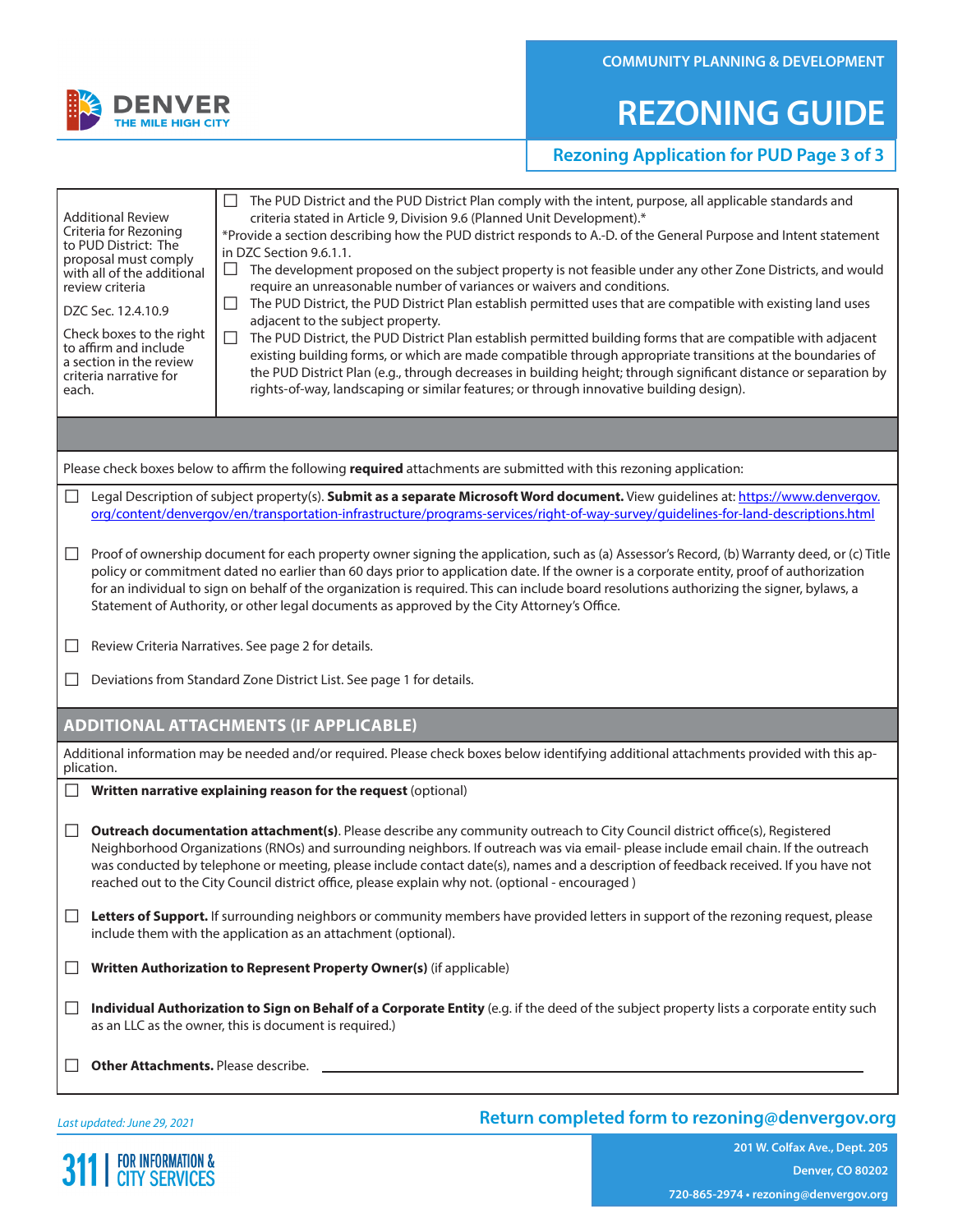# **REZONING GUIDE**

### **Rezoning Application for PUD Page 3 of 3**

| <b>Additional Review</b><br>Criteria for Rezoning<br>to PUD District: The<br>proposal must comply<br>with all of the additional<br>review criteria<br>DZC Sec. 12.4.10.9<br>Check boxes to the right<br>to affirm and include<br>a section in the review<br>criteria narrative for<br>each.                                                                                                                                                                                                                                                   | The PUD District and the PUD District Plan comply with the intent, purpose, all applicable standards and<br>criteria stated in Article 9, Division 9.6 (Planned Unit Development).*<br>*Provide a section describing how the PUD district responds to A.-D. of the General Purpose and Intent statement<br>in DZC Section 9.6.1.1.<br>The development proposed on the subject property is not feasible under any other Zone Districts, and would<br>require an unreasonable number of variances or waivers and conditions.<br>The PUD District, the PUD District Plan establish permitted uses that are compatible with existing land uses<br>$\mathsf{L}$<br>adjacent to the subject property.<br>The PUD District, the PUD District Plan establish permitted building forms that are compatible with adjacent<br>ப<br>existing building forms, or which are made compatible through appropriate transitions at the boundaries of<br>the PUD District Plan (e.g., through decreases in building height; through significant distance or separation by<br>rights-of-way, landscaping or similar features; or through innovative building design). |  |  |  |  |  |  |
|-----------------------------------------------------------------------------------------------------------------------------------------------------------------------------------------------------------------------------------------------------------------------------------------------------------------------------------------------------------------------------------------------------------------------------------------------------------------------------------------------------------------------------------------------|---------------------------------------------------------------------------------------------------------------------------------------------------------------------------------------------------------------------------------------------------------------------------------------------------------------------------------------------------------------------------------------------------------------------------------------------------------------------------------------------------------------------------------------------------------------------------------------------------------------------------------------------------------------------------------------------------------------------------------------------------------------------------------------------------------------------------------------------------------------------------------------------------------------------------------------------------------------------------------------------------------------------------------------------------------------------------------------------------------------------------------------------------|--|--|--|--|--|--|
|                                                                                                                                                                                                                                                                                                                                                                                                                                                                                                                                               |                                                                                                                                                                                                                                                                                                                                                                                                                                                                                                                                                                                                                                                                                                                                                                                                                                                                                                                                                                                                                                                                                                                                                   |  |  |  |  |  |  |
|                                                                                                                                                                                                                                                                                                                                                                                                                                                                                                                                               | Please check boxes below to affirm the following required attachments are submitted with this rezoning application:                                                                                                                                                                                                                                                                                                                                                                                                                                                                                                                                                                                                                                                                                                                                                                                                                                                                                                                                                                                                                               |  |  |  |  |  |  |
| $\Box$<br>Legal Description of subject property(s). Submit as a separate Microsoft Word document. View guidelines at: https://www.denvergov.<br>org/content/denvergov/en/transportation-infrastructure/programs-services/right-of-way-survey/guidelines-for-land-descriptions.html                                                                                                                                                                                                                                                            |                                                                                                                                                                                                                                                                                                                                                                                                                                                                                                                                                                                                                                                                                                                                                                                                                                                                                                                                                                                                                                                                                                                                                   |  |  |  |  |  |  |
| Proof of ownership document for each property owner signing the application, such as (a) Assessor's Record, (b) Warranty deed, or (c) Title<br>$\Box$<br>policy or commitment dated no earlier than 60 days prior to application date. If the owner is a corporate entity, proof of authorization<br>for an individual to sign on behalf of the organization is required. This can include board resolutions authorizing the signer, bylaws, a<br>Statement of Authority, or other legal documents as approved by the City Attorney's Office. |                                                                                                                                                                                                                                                                                                                                                                                                                                                                                                                                                                                                                                                                                                                                                                                                                                                                                                                                                                                                                                                                                                                                                   |  |  |  |  |  |  |
| ப                                                                                                                                                                                                                                                                                                                                                                                                                                                                                                                                             | Review Criteria Narratives. See page 2 for details.                                                                                                                                                                                                                                                                                                                                                                                                                                                                                                                                                                                                                                                                                                                                                                                                                                                                                                                                                                                                                                                                                               |  |  |  |  |  |  |
| Deviations from Standard Zone District List. See page 1 for details.<br>$\mathsf{L}$                                                                                                                                                                                                                                                                                                                                                                                                                                                          |                                                                                                                                                                                                                                                                                                                                                                                                                                                                                                                                                                                                                                                                                                                                                                                                                                                                                                                                                                                                                                                                                                                                                   |  |  |  |  |  |  |
|                                                                                                                                                                                                                                                                                                                                                                                                                                                                                                                                               | <b>ADDITIONAL ATTACHMENTS (IF APPLICABLE)</b>                                                                                                                                                                                                                                                                                                                                                                                                                                                                                                                                                                                                                                                                                                                                                                                                                                                                                                                                                                                                                                                                                                     |  |  |  |  |  |  |
| plication.                                                                                                                                                                                                                                                                                                                                                                                                                                                                                                                                    | Additional information may be needed and/or required. Please check boxes below identifying additional attachments provided with this ap-                                                                                                                                                                                                                                                                                                                                                                                                                                                                                                                                                                                                                                                                                                                                                                                                                                                                                                                                                                                                          |  |  |  |  |  |  |
| Written narrative explaining reason for the request (optional)                                                                                                                                                                                                                                                                                                                                                                                                                                                                                |                                                                                                                                                                                                                                                                                                                                                                                                                                                                                                                                                                                                                                                                                                                                                                                                                                                                                                                                                                                                                                                                                                                                                   |  |  |  |  |  |  |
| Outreach documentation attachment(s). Please describe any community outreach to City Council district office(s), Registered<br>$\Box$<br>Neighborhood Organizations (RNOs) and surrounding neighbors. If outreach was via email-please include email chain. If the outreach<br>was conducted by telephone or meeting, please include contact date(s), names and a description of feedback received. If you have not<br>reached out to the City Council district office, please explain why not. (optional - encouraged)                       |                                                                                                                                                                                                                                                                                                                                                                                                                                                                                                                                                                                                                                                                                                                                                                                                                                                                                                                                                                                                                                                                                                                                                   |  |  |  |  |  |  |
| $\Box$                                                                                                                                                                                                                                                                                                                                                                                                                                                                                                                                        | Letters of Support. If surrounding neighbors or community members have provided letters in support of the rezoning request, please<br>include them with the application as an attachment (optional).                                                                                                                                                                                                                                                                                                                                                                                                                                                                                                                                                                                                                                                                                                                                                                                                                                                                                                                                              |  |  |  |  |  |  |
|                                                                                                                                                                                                                                                                                                                                                                                                                                                                                                                                               | Written Authorization to Represent Property Owner(s) (if applicable)                                                                                                                                                                                                                                                                                                                                                                                                                                                                                                                                                                                                                                                                                                                                                                                                                                                                                                                                                                                                                                                                              |  |  |  |  |  |  |
| $\Box$                                                                                                                                                                                                                                                                                                                                                                                                                                                                                                                                        | Individual Authorization to Sign on Behalf of a Corporate Entity (e.g. if the deed of the subject property lists a corporate entity such<br>as an LLC as the owner, this is document is required.)                                                                                                                                                                                                                                                                                                                                                                                                                                                                                                                                                                                                                                                                                                                                                                                                                                                                                                                                                |  |  |  |  |  |  |
|                                                                                                                                                                                                                                                                                                                                                                                                                                                                                                                                               |                                                                                                                                                                                                                                                                                                                                                                                                                                                                                                                                                                                                                                                                                                                                                                                                                                                                                                                                                                                                                                                                                                                                                   |  |  |  |  |  |  |
|                                                                                                                                                                                                                                                                                                                                                                                                                                                                                                                                               |                                                                                                                                                                                                                                                                                                                                                                                                                                                                                                                                                                                                                                                                                                                                                                                                                                                                                                                                                                                                                                                                                                                                                   |  |  |  |  |  |  |

*Last updated: June 29, 2021*

**311 | FOR INFORMATION &** 

#### **Return completed form to rezoning@denvergov.org**